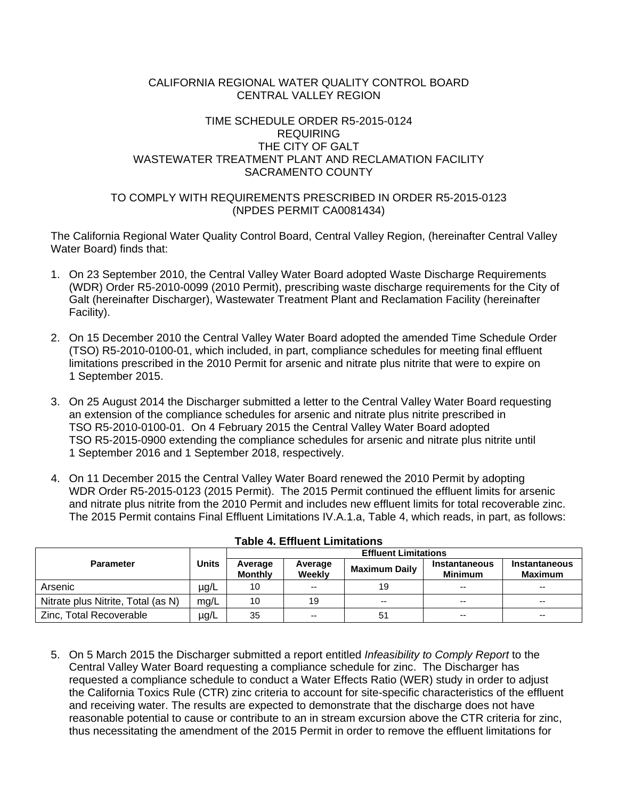#### CALIFORNIA REGIONAL WATER QUALITY CONTROL BOARD CENTRAL VALLEY REGION

### TIME SCHEDULE ORDER R5-2015-0124 REQUIRING THE CITY OF GALT WASTEWATER TREATMENT PLANT AND RECLAMATION FACILITY SACRAMENTO COUNTY

### TO COMPLY WITH REQUIREMENTS PRESCRIBED IN ORDER R5-2015-0123 (NPDES PERMIT CA0081434)

The California Regional Water Quality Control Board, Central Valley Region, (hereinafter Central Valley Water Board) finds that:

- 1. On 23 September 2010, the Central Valley Water Board adopted Waste Discharge Requirements (WDR) Order R5-2010-0099 (2010 Permit), prescribing waste discharge requirements for the City of Galt (hereinafter Discharger), Wastewater Treatment Plant and Reclamation Facility (hereinafter Facility).
- 2. On 15 December 2010 the Central Valley Water Board adopted the amended Time Schedule Order (TSO) R5-2010-0100-01, which included, in part, compliance schedules for meeting final effluent limitations prescribed in the 2010 Permit for arsenic and nitrate plus nitrite that were to expire on 1 September 2015.
- 3. On 25 August 2014 the Discharger submitted a letter to the Central Valley Water Board requesting an extension of the compliance schedules for arsenic and nitrate plus nitrite prescribed in TSO R5-2010-0100-01. On 4 February 2015 the Central Valley Water Board adopted TSO R5-2015-0900 extending the compliance schedules for arsenic and nitrate plus nitrite until 1 September 2016 and 1 September 2018, respectively.
- 4. On 11 December 2015 the Central Valley Water Board renewed the 2010 Permit by adopting WDR Order R5-2015-0123 (2015 Permit). The 2015 Permit continued the effluent limits for arsenic and nitrate plus nitrite from the 2010 Permit and includes new effluent limits for total recoverable zinc. The 2015 Permit contains Final Effluent Limitations IV.A.1.a, Table 4, which reads, in part, as follows:

|                                    |              | <b>Effluent Limitations</b> |                   |                      |                                 |                                 |  |
|------------------------------------|--------------|-----------------------------|-------------------|----------------------|---------------------------------|---------------------------------|--|
| <b>Parameter</b>                   | <b>Units</b> | Average<br><b>Monthly</b>   | Average<br>Weekly | <b>Maximum Daily</b> | Instantaneous<br><b>Minimum</b> | Instantaneous<br><b>Maximum</b> |  |
| Arsenic                            | µg/L         | 10                          | --                | 19                   | $- -$                           | $- -$                           |  |
| Nitrate plus Nitrite, Total (as N) | mg/L         | 10                          | 19                | $- -$                | $-$                             | $- -$                           |  |
| Zinc, Total Recoverable            | $\mu$ g/L    | 35                          | --                | 51                   | $-$                             | $- -$                           |  |

5. On 5 March 2015 the Discharger submitted a report entitled *Infeasibility to Comply Report* to the Central Valley Water Board requesting a compliance schedule for zinc. The Discharger has requested a compliance schedule to conduct a Water Effects Ratio (WER) study in order to adjust the California Toxics Rule (CTR) zinc criteria to account for site-specific characteristics of the effluent and receiving water. The results are expected to demonstrate that the discharge does not have reasonable potential to cause or contribute to an in stream excursion above the CTR criteria for zinc, thus necessitating the amendment of the 2015 Permit in order to remove the effluent limitations for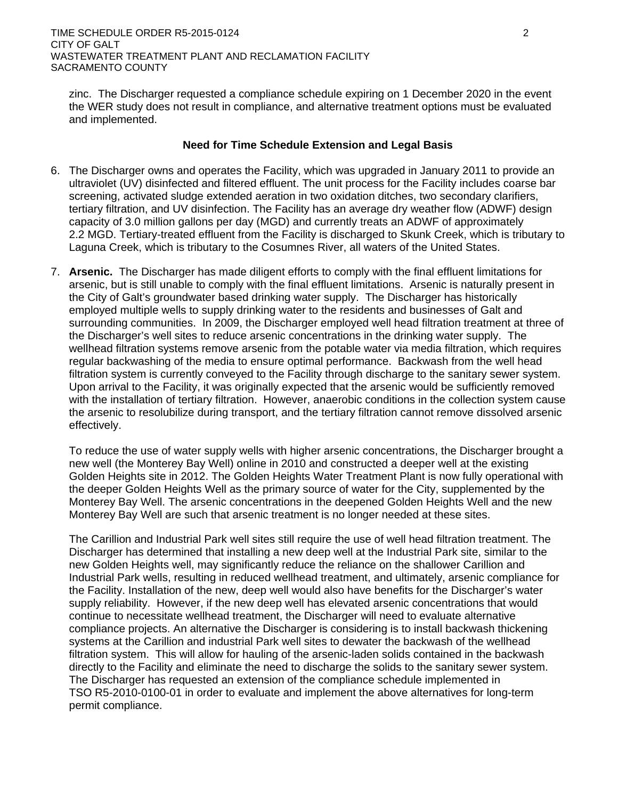zinc. The Discharger requested a compliance schedule expiring on 1 December 2020 in the event the WER study does not result in compliance, and alternative treatment options must be evaluated and implemented.

# **Need for Time Schedule Extension and Legal Basis**

- 6. The Discharger owns and operates the Facility, which was upgraded in January 2011 to provide an ultraviolet (UV) disinfected and filtered effluent. The unit process for the Facility includes coarse bar screening, activated sludge extended aeration in two oxidation ditches, two secondary clarifiers, tertiary filtration, and UV disinfection. The Facility has an average dry weather flow (ADWF) design capacity of 3.0 million gallons per day (MGD) and currently treats an ADWF of approximately 2.2 MGD. Tertiary-treated effluent from the Facility is discharged to Skunk Creek, which is tributary to Laguna Creek, which is tributary to the Cosumnes River, all waters of the United States.
- 7. **Arsenic.** The Discharger has made diligent efforts to comply with the final effluent limitations for arsenic, but is still unable to comply with the final effluent limitations. Arsenic is naturally present in the City of Galt's groundwater based drinking water supply. The Discharger has historically employed multiple wells to supply drinking water to the residents and businesses of Galt and surrounding communities. In 2009, the Discharger employed well head filtration treatment at three of the Discharger's well sites to reduce arsenic concentrations in the drinking water supply. The wellhead filtration systems remove arsenic from the potable water via media filtration, which requires regular backwashing of the media to ensure optimal performance. Backwash from the well head filtration system is currently conveyed to the Facility through discharge to the sanitary sewer system. Upon arrival to the Facility, it was originally expected that the arsenic would be sufficiently removed with the installation of tertiary filtration. However, anaerobic conditions in the collection system cause the arsenic to resolubilize during transport, and the tertiary filtration cannot remove dissolved arsenic effectively.

To reduce the use of water supply wells with higher arsenic concentrations, the Discharger brought a new well (the Monterey Bay Well) online in 2010 and constructed a deeper well at the existing Golden Heights site in 2012. The Golden Heights Water Treatment Plant is now fully operational with the deeper Golden Heights Well as the primary source of water for the City, supplemented by the Monterey Bay Well. The arsenic concentrations in the deepened Golden Heights Well and the new Monterey Bay Well are such that arsenic treatment is no longer needed at these sites.

The Carillion and Industrial Park well sites still require the use of well head filtration treatment. The Discharger has determined that installing a new deep well at the Industrial Park site, similar to the new Golden Heights well, may significantly reduce the reliance on the shallower Carillion and Industrial Park wells, resulting in reduced wellhead treatment, and ultimately, arsenic compliance for the Facility. Installation of the new, deep well would also have benefits for the Discharger's water supply reliability. However, if the new deep well has elevated arsenic concentrations that would continue to necessitate wellhead treatment, the Discharger will need to evaluate alternative compliance projects. An alternative the Discharger is considering is to install backwash thickening systems at the Carillion and industrial Park well sites to dewater the backwash of the wellhead filtration system. This will allow for hauling of the arsenic-laden solids contained in the backwash directly to the Facility and eliminate the need to discharge the solids to the sanitary sewer system. The Discharger has requested an extension of the compliance schedule implemented in TSO R5-2010-0100-01 in order to evaluate and implement the above alternatives for long-term permit compliance.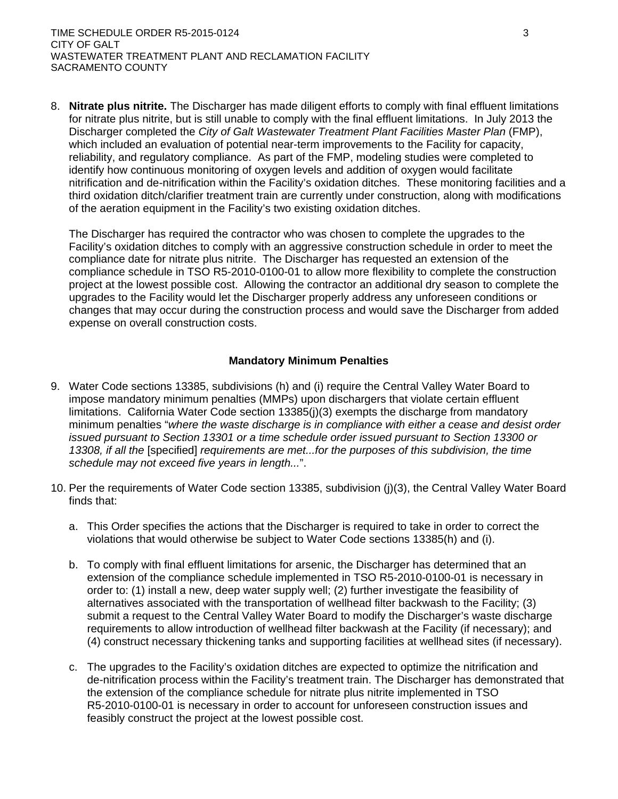8. **Nitrate plus nitrite.** The Discharger has made diligent efforts to comply with final effluent limitations for nitrate plus nitrite, but is still unable to comply with the final effluent limitations. In July 2013 the Discharger completed the *City of Galt Wastewater Treatment Plant Facilities Master Plan* (FMP), which included an evaluation of potential near-term improvements to the Facility for capacity, reliability, and regulatory compliance. As part of the FMP, modeling studies were completed to identify how continuous monitoring of oxygen levels and addition of oxygen would facilitate nitrification and de-nitrification within the Facility's oxidation ditches. These monitoring facilities and a third oxidation ditch/clarifier treatment train are currently under construction, along with modifications of the aeration equipment in the Facility's two existing oxidation ditches.

The Discharger has required the contractor who was chosen to complete the upgrades to the Facility's oxidation ditches to comply with an aggressive construction schedule in order to meet the compliance date for nitrate plus nitrite. The Discharger has requested an extension of the compliance schedule in TSO R5-2010-0100-01 to allow more flexibility to complete the construction project at the lowest possible cost. Allowing the contractor an additional dry season to complete the upgrades to the Facility would let the Discharger properly address any unforeseen conditions or changes that may occur during the construction process and would save the Discharger from added expense on overall construction costs.

#### **Mandatory Minimum Penalties**

- 9. Water Code sections 13385, subdivisions (h) and (i) require the Central Valley Water Board to impose mandatory minimum penalties (MMPs) upon dischargers that violate certain effluent limitations. California Water Code section 13385(j)(3) exempts the discharge from mandatory minimum penalties "*where the waste discharge is in compliance with either a cease and desist order issued pursuant to Section 13301 or a time schedule order issued pursuant to Section 13300 or 13308, if all the* [specified] *requirements are met...for the purposes of this subdivision, the time schedule may not exceed five years in length...*".
- 10. Per the requirements of Water Code section 13385, subdivision (j)(3), the Central Valley Water Board finds that:
	- a. This Order specifies the actions that the Discharger is required to take in order to correct the violations that would otherwise be subject to Water Code sections 13385(h) and (i).
	- b. To comply with final effluent limitations for arsenic, the Discharger has determined that an extension of the compliance schedule implemented in TSO R5-2010-0100-01 is necessary in order to: (1) install a new, deep water supply well; (2) further investigate the feasibility of alternatives associated with the transportation of wellhead filter backwash to the Facility; (3) submit a request to the Central Valley Water Board to modify the Discharger's waste discharge requirements to allow introduction of wellhead filter backwash at the Facility (if necessary); and (4) construct necessary thickening tanks and supporting facilities at wellhead sites (if necessary).
	- c. The upgrades to the Facility's oxidation ditches are expected to optimize the nitrification and de-nitrification process within the Facility's treatment train. The Discharger has demonstrated that the extension of the compliance schedule for nitrate plus nitrite implemented in TSO R5-2010-0100-01 is necessary in order to account for unforeseen construction issues and feasibly construct the project at the lowest possible cost.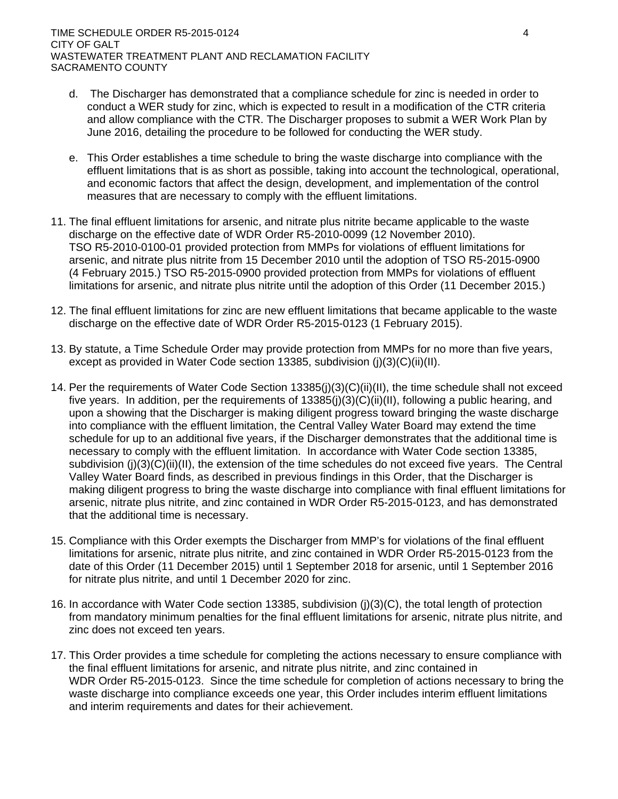- d. The Discharger has demonstrated that a compliance schedule for zinc is needed in order to conduct a WER study for zinc, which is expected to result in a modification of the CTR criteria and allow compliance with the CTR. The Discharger proposes to submit a WER Work Plan by June 2016, detailing the procedure to be followed for conducting the WER study.
- e. This Order establishes a time schedule to bring the waste discharge into compliance with the effluent limitations that is as short as possible, taking into account the technological, operational, and economic factors that affect the design, development, and implementation of the control measures that are necessary to comply with the effluent limitations.
- 11. The final effluent limitations for arsenic, and nitrate plus nitrite became applicable to the waste discharge on the effective date of WDR Order R5-2010-0099 (12 November 2010). TSO R5-2010-0100-01 provided protection from MMPs for violations of effluent limitations for arsenic, and nitrate plus nitrite from 15 December 2010 until the adoption of TSO R5-2015-0900 (4 February 2015.) TSO R5-2015-0900 provided protection from MMPs for violations of effluent limitations for arsenic, and nitrate plus nitrite until the adoption of this Order (11 December 2015.)
- 12. The final effluent limitations for zinc are new effluent limitations that became applicable to the waste discharge on the effective date of WDR Order R5-2015-0123 (1 February 2015).
- 13. By statute, a Time Schedule Order may provide protection from MMPs for no more than five years, except as provided in Water Code section 13385, subdivision (j)(3)(C)(ii)(II).
- 14. Per the requirements of Water Code Section 13385(j)(3)(C)(ii)(II), the time schedule shall not exceed five years. In addition, per the requirements of 13385(j)(3)(C)(ii)(II), following a public hearing, and upon a showing that the Discharger is making diligent progress toward bringing the waste discharge into compliance with the effluent limitation, the Central Valley Water Board may extend the time schedule for up to an additional five years, if the Discharger demonstrates that the additional time is necessary to comply with the effluent limitation. In accordance with Water Code section 13385, subdivision (j)(3)(C)(ii)(II), the extension of the time schedules do not exceed five years. The Central Valley Water Board finds, as described in previous findings in this Order, that the Discharger is making diligent progress to bring the waste discharge into compliance with final effluent limitations for arsenic, nitrate plus nitrite, and zinc contained in WDR Order R5-2015-0123, and has demonstrated that the additional time is necessary.
- 15. Compliance with this Order exempts the Discharger from MMP's for violations of the final effluent limitations for arsenic, nitrate plus nitrite, and zinc contained in WDR Order R5-2015-0123 from the date of this Order (11 December 2015) until 1 September 2018 for arsenic, until 1 September 2016 for nitrate plus nitrite, and until 1 December 2020 for zinc.
- 16. In accordance with Water Code section 13385, subdivision (j)(3)(C), the total length of protection from mandatory minimum penalties for the final effluent limitations for arsenic, nitrate plus nitrite, and zinc does not exceed ten years.
- 17. This Order provides a time schedule for completing the actions necessary to ensure compliance with the final effluent limitations for arsenic, and nitrate plus nitrite, and zinc contained in WDR Order R5-2015-0123. Since the time schedule for completion of actions necessary to bring the waste discharge into compliance exceeds one year, this Order includes interim effluent limitations and interim requirements and dates for their achievement.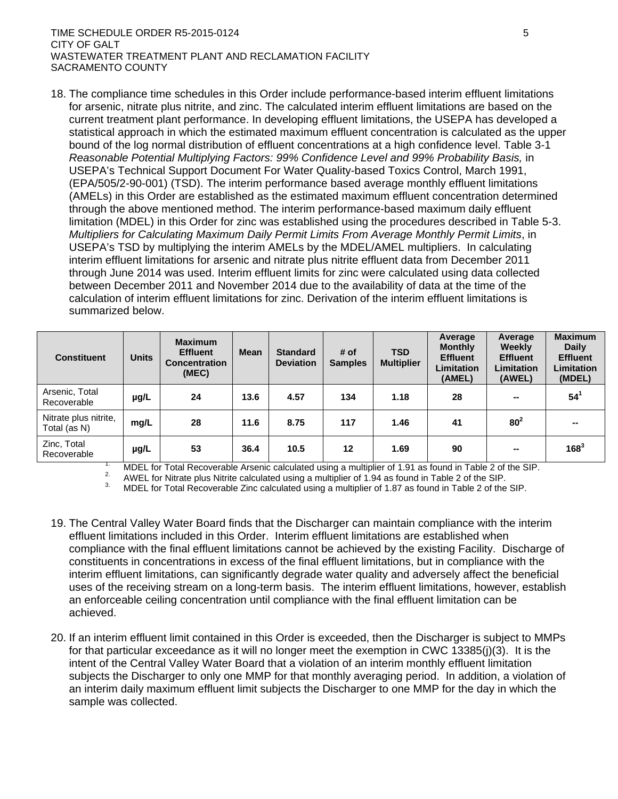#### TIME SCHEDULE ORDER R5-2015-0124 5 SHOW TO A LIMIT AND THE SCHEDULE ORDER R5-2015-0124 CITY OF GALT WASTEWATER TREATMENT PLANT AND RECLAMATION FACILITY SACRAMENTO COUNTY

18. The compliance time schedules in this Order include performance-based interim effluent limitations for arsenic, nitrate plus nitrite, and zinc. The calculated interim effluent limitations are based on the current treatment plant performance. In developing effluent limitations, the USEPA has developed a statistical approach in which the estimated maximum effluent concentration is calculated as the upper bound of the log normal distribution of effluent concentrations at a high confidence level. Table 3-1 *Reasonable Potential Multiplying Factors: 99% Confidence Level and 99% Probability Basis,* in USEPA's Technical Support Document For Water Quality-based Toxics Control, March 1991, (EPA/505/2-90-001) (TSD). The interim performance based average monthly effluent limitations (AMELs) in this Order are established as the estimated maximum effluent concentration determined through the above mentioned method. The interim performance-based maximum daily effluent limitation (MDEL) in this Order for zinc was established using the procedures described in Table 5-3. *Multipliers for Calculating Maximum Daily Permit Limits From Average Monthly Permit Limits*, in USEPA's TSD by multiplying the interim AMELs by the MDEL/AMEL multipliers. In calculating interim effluent limitations for arsenic and nitrate plus nitrite effluent data from December 2011 through June 2014 was used. Interim effluent limits for zinc were calculated using data collected between December 2011 and November 2014 due to the availability of data at the time of the calculation of interim effluent limitations for zinc. Derivation of the interim effluent limitations is summarized below.

| <b>Constituent</b>                    | <b>Units</b> | <b>Maximum</b><br><b>Effluent</b><br><b>Concentration</b><br>(MEC) | <b>Mean</b> | <b>Standard</b><br><b>Deviation</b> | # of<br><b>Samples</b> | <b>TSD</b><br><b>Multiplier</b> | Average<br><b>Monthly</b><br><b>Effluent</b><br><b>Limitation</b><br>(AMEL) | Average<br><b>Weekly</b><br><b>Effluent</b><br><b>Limitation</b><br>(AWEL) | <b>Maximum</b><br><b>Daily</b><br><b>Effluent</b><br>Limitation<br>(MDEL) |
|---------------------------------------|--------------|--------------------------------------------------------------------|-------------|-------------------------------------|------------------------|---------------------------------|-----------------------------------------------------------------------------|----------------------------------------------------------------------------|---------------------------------------------------------------------------|
| Arsenic, Total<br>Recoverable         | µg/L         | 24                                                                 | 13.6        | 4.57                                | 134                    | 1.18                            | 28                                                                          | --                                                                         | $54^1$                                                                    |
| Nitrate plus nitrite,<br>Total (as N) | mg/L         | 28                                                                 | 11.6        | 8.75                                | 117                    | 1.46                            | 41                                                                          | $80^2$                                                                     |                                                                           |
| Zinc, Total<br>Recoverable            | µg/L         | 53                                                                 | 36.4        | 10.5                                | 12                     | 1.69                            | 90                                                                          | $\sim$                                                                     | $168^3$                                                                   |

<sup>1</sup> MDEL for Total Recoverable Arsenic calculated using a multiplier of 1.91 as found in Table 2 of the SIP.<br><sup>2.</sup> AWEL for Nitrate plus Nitrite calculated using a multiplier of 1.94 as found in Table 2 of the SIP.<br><sup>3.</sup> MD

- 19. The Central Valley Water Board finds that the Discharger can maintain compliance with the interim effluent limitations included in this Order. Interim effluent limitations are established when compliance with the final effluent limitations cannot be achieved by the existing Facility. Discharge of constituents in concentrations in excess of the final effluent limitations, but in compliance with the interim effluent limitations, can significantly degrade water quality and adversely affect the beneficial uses of the receiving stream on a long-term basis. The interim effluent limitations, however, establish an enforceable ceiling concentration until compliance with the final effluent limitation can be achieved.
- 20. If an interim effluent limit contained in this Order is exceeded, then the Discharger is subject to MMPs for that particular exceedance as it will no longer meet the exemption in CWC 13385(j)(3). It is the intent of the Central Valley Water Board that a violation of an interim monthly effluent limitation subjects the Discharger to only one MMP for that monthly averaging period. In addition, a violation of an interim daily maximum effluent limit subjects the Discharger to one MMP for the day in which the sample was collected.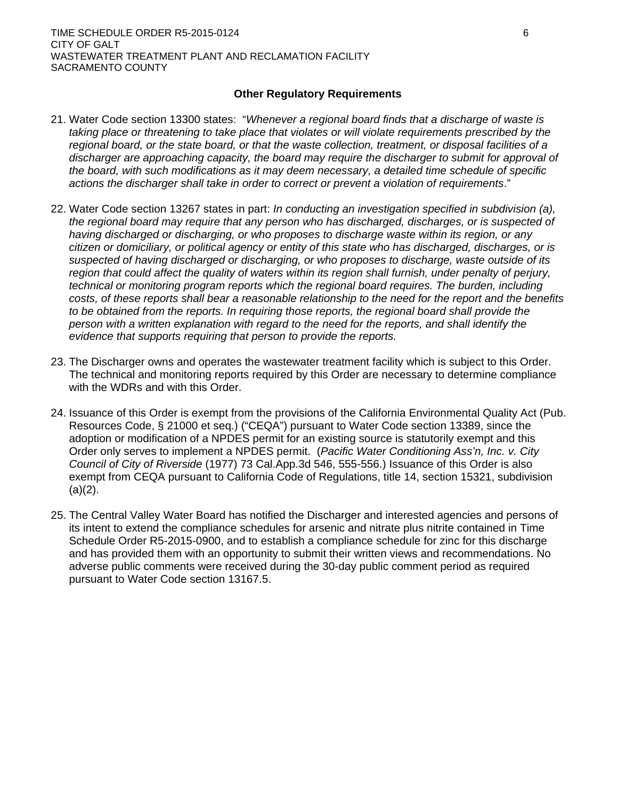## **Other Regulatory Requirements**

- 21. Water Code section 13300 states: "*Whenever a regional board finds that a discharge of waste is taking place or threatening to take place that violates or will violate requirements prescribed by the regional board, or the state board, or that the waste collection, treatment, or disposal facilities of a discharger are approaching capacity, the board may require the discharger to submit for approval of the board, with such modifications as it may deem necessary, a detailed time schedule of specific actions the discharger shall take in order to correct or prevent a violation of requirements*."
- 22. Water Code section 13267 states in part: *In conducting an investigation specified in subdivision (a), the regional board may require that any person who has discharged, discharges, or is suspected of having discharged or discharging, or who proposes to discharge waste within its region, or any citizen or domiciliary, or political agency or entity of this state who has discharged, discharges, or is suspected of having discharged or discharging, or who proposes to discharge, waste outside of its region that could affect the quality of waters within its region shall furnish, under penalty of perjury, technical or monitoring program reports which the regional board requires. The burden, including costs, of these reports shall bear a reasonable relationship to the need for the report and the benefits*  to be obtained from the reports. In requiring those reports, the regional board shall provide the *person with a written explanation with regard to the need for the reports, and shall identify the evidence that supports requiring that person to provide the reports.*
- 23. The Discharger owns and operates the wastewater treatment facility which is subject to this Order. The technical and monitoring reports required by this Order are necessary to determine compliance with the WDRs and with this Order.
- 24. Issuance of this Order is exempt from the provisions of the California Environmental Quality Act (Pub. Resources Code, § 21000 et seq.) ("CEQA") pursuant to Water Code section 13389, since the adoption or modification of a NPDES permit for an existing source is statutorily exempt and this Order only serves to implement a NPDES permit. (*Pacific Water Conditioning Ass'n, Inc. v. City Council of City of Riverside* (1977) 73 Cal.App.3d 546, 555-556.) Issuance of this Order is also exempt from CEQA pursuant to California Code of Regulations, title 14, section 15321, subdivision  $(a)(2)$ .
- 25. The Central Valley Water Board has notified the Discharger and interested agencies and persons of its intent to extend the compliance schedules for arsenic and nitrate plus nitrite contained in Time Schedule Order R5-2015-0900, and to establish a compliance schedule for zinc for this discharge and has provided them with an opportunity to submit their written views and recommendations. No adverse public comments were received during the 30-day public comment period as required pursuant to Water Code section 13167.5.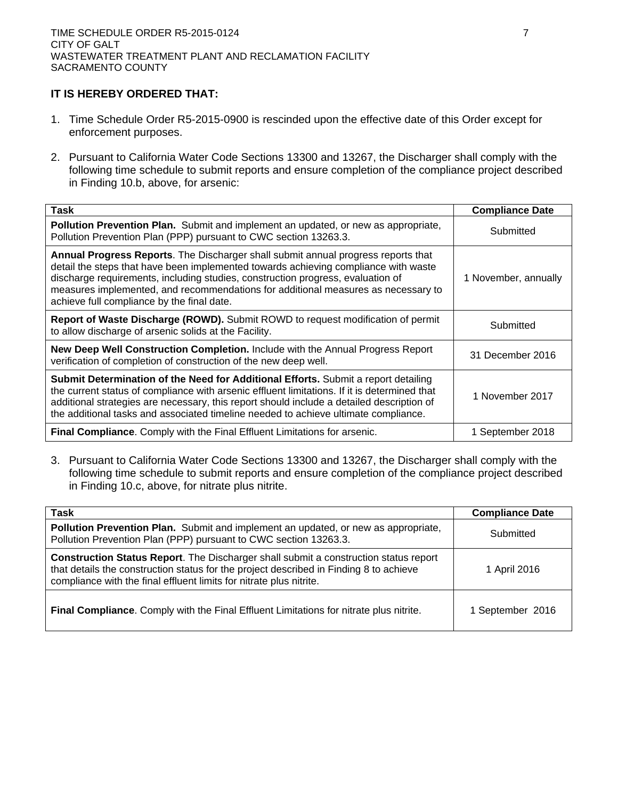# **IT IS HEREBY ORDERED THAT:**

- 1. Time Schedule Order R5-2015-0900 is rescinded upon the effective date of this Order except for enforcement purposes.
- 2. Pursuant to California Water Code Sections 13300 and 13267, the Discharger shall comply with the following time schedule to submit reports and ensure completion of the compliance project described in Finding 10.b, above, for arsenic:

| <b>Task</b>                                                                                                                                                                                                                                                                                                                                                                                    | <b>Compliance Date</b> |
|------------------------------------------------------------------------------------------------------------------------------------------------------------------------------------------------------------------------------------------------------------------------------------------------------------------------------------------------------------------------------------------------|------------------------|
| <b>Pollution Prevention Plan.</b> Submit and implement an updated, or new as appropriate,<br>Pollution Prevention Plan (PPP) pursuant to CWC section 13263.3.                                                                                                                                                                                                                                  | Submitted              |
| Annual Progress Reports. The Discharger shall submit annual progress reports that<br>detail the steps that have been implemented towards achieving compliance with waste<br>discharge requirements, including studies, construction progress, evaluation of<br>measures implemented, and recommendations for additional measures as necessary to<br>achieve full compliance by the final date. | 1 November, annually   |
| Report of Waste Discharge (ROWD). Submit ROWD to request modification of permit<br>to allow discharge of arsenic solids at the Facility.                                                                                                                                                                                                                                                       | Submitted              |
| New Deep Well Construction Completion. Include with the Annual Progress Report<br>verification of completion of construction of the new deep well.                                                                                                                                                                                                                                             | 31 December 2016       |
| Submit Determination of the Need for Additional Efforts. Submit a report detailing<br>the current status of compliance with arsenic effluent limitations. If it is determined that<br>additional strategies are necessary, this report should include a detailed description of<br>the additional tasks and associated timeline needed to achieve ultimate compliance.                         | 1 November 2017        |
| Final Compliance. Comply with the Final Effluent Limitations for arsenic.                                                                                                                                                                                                                                                                                                                      | 1 September 2018       |

3. Pursuant to California Water Code Sections 13300 and 13267, the Discharger shall comply with the following time schedule to submit reports and ensure completion of the compliance project described in Finding 10.c, above, for nitrate plus nitrite.

| <b>Task</b>                                                                                                                                                                                                                                                  | <b>Compliance Date</b> |
|--------------------------------------------------------------------------------------------------------------------------------------------------------------------------------------------------------------------------------------------------------------|------------------------|
| Pollution Prevention Plan. Submit and implement an updated, or new as appropriate,<br>Pollution Prevention Plan (PPP) pursuant to CWC section 13263.3.                                                                                                       | Submitted              |
| <b>Construction Status Report.</b> The Discharger shall submit a construction status report<br>that details the construction status for the project described in Finding 8 to achieve<br>compliance with the final effluent limits for nitrate plus nitrite. | 1 April 2016           |
| Final Compliance. Comply with the Final Effluent Limitations for nitrate plus nitrite.                                                                                                                                                                       | 1 September 2016       |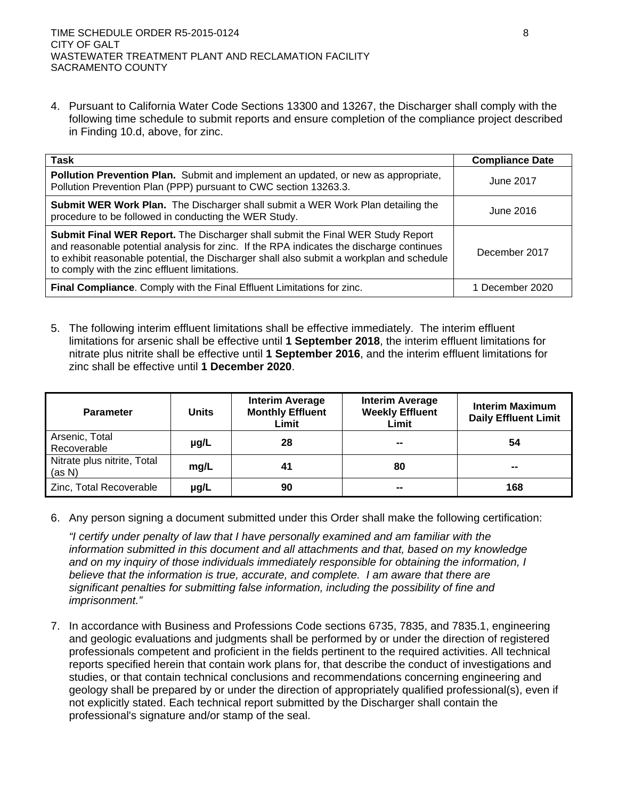4. Pursuant to California Water Code Sections 13300 and 13267, the Discharger shall comply with the following time schedule to submit reports and ensure completion of the compliance project described in Finding 10.d, above, for zinc.

| Task                                                                                                                                                                                                                                                                                                                      | <b>Compliance Date</b> |
|---------------------------------------------------------------------------------------------------------------------------------------------------------------------------------------------------------------------------------------------------------------------------------------------------------------------------|------------------------|
| Pollution Prevention Plan. Submit and implement an updated, or new as appropriate,<br>Pollution Prevention Plan (PPP) pursuant to CWC section 13263.3.                                                                                                                                                                    | June 2017              |
| <b>Submit WER Work Plan.</b> The Discharger shall submit a WER Work Plan detailing the<br>procedure to be followed in conducting the WER Study.                                                                                                                                                                           | June 2016              |
| Submit Final WER Report. The Discharger shall submit the Final WER Study Report<br>and reasonable potential analysis for zinc. If the RPA indicates the discharge continues<br>to exhibit reasonable potential, the Discharger shall also submit a workplan and schedule<br>to comply with the zinc effluent limitations. | December 2017          |
| Final Compliance. Comply with the Final Effluent Limitations for zinc.                                                                                                                                                                                                                                                    | 1 December 2020        |

5. The following interim effluent limitations shall be effective immediately. The interim effluent limitations for arsenic shall be effective until **1 September 2018**, the interim effluent limitations for nitrate plus nitrite shall be effective until **1 September 2016**, and the interim effluent limitations for zinc shall be effective until **1 December 2020**.

| <b>Parameter</b>                      | <b>Units</b> | <b>Interim Average</b><br><b>Monthly Effluent</b><br>Limit | <b>Interim Average</b><br><b>Weekly Effluent</b><br>Limit | <b>Interim Maximum</b><br><b>Daily Effluent Limit</b> |
|---------------------------------------|--------------|------------------------------------------------------------|-----------------------------------------------------------|-------------------------------------------------------|
| Arsenic, Total<br>Recoverable         | $\mu$ g/L    | 28                                                         | --                                                        | 54                                                    |
| Nitrate plus nitrite, Total<br>(as N) | mg/L         | 41                                                         | 80                                                        | --                                                    |
| Zinc, Total Recoverable               | µg/L         | 90                                                         | --                                                        | 168                                                   |

6. Any person signing a document submitted under this Order shall make the following certification:

*"I certify under penalty of law that I have personally examined and am familiar with the information submitted in this document and all attachments and that, based on my knowledge and on my inquiry of those individuals immediately responsible for obtaining the information, I believe that the information is true, accurate, and complete. I am aware that there are significant penalties for submitting false information, including the possibility of fine and imprisonment."*

7. In accordance with Business and Professions Code sections 6735, 7835, and 7835.1, engineering and geologic evaluations and judgments shall be performed by or under the direction of registered professionals competent and proficient in the fields pertinent to the required activities. All technical reports specified herein that contain work plans for, that describe the conduct of investigations and studies, or that contain technical conclusions and recommendations concerning engineering and geology shall be prepared by or under the direction of appropriately qualified professional(s), even if not explicitly stated. Each technical report submitted by the Discharger shall contain the professional's signature and/or stamp of the seal.